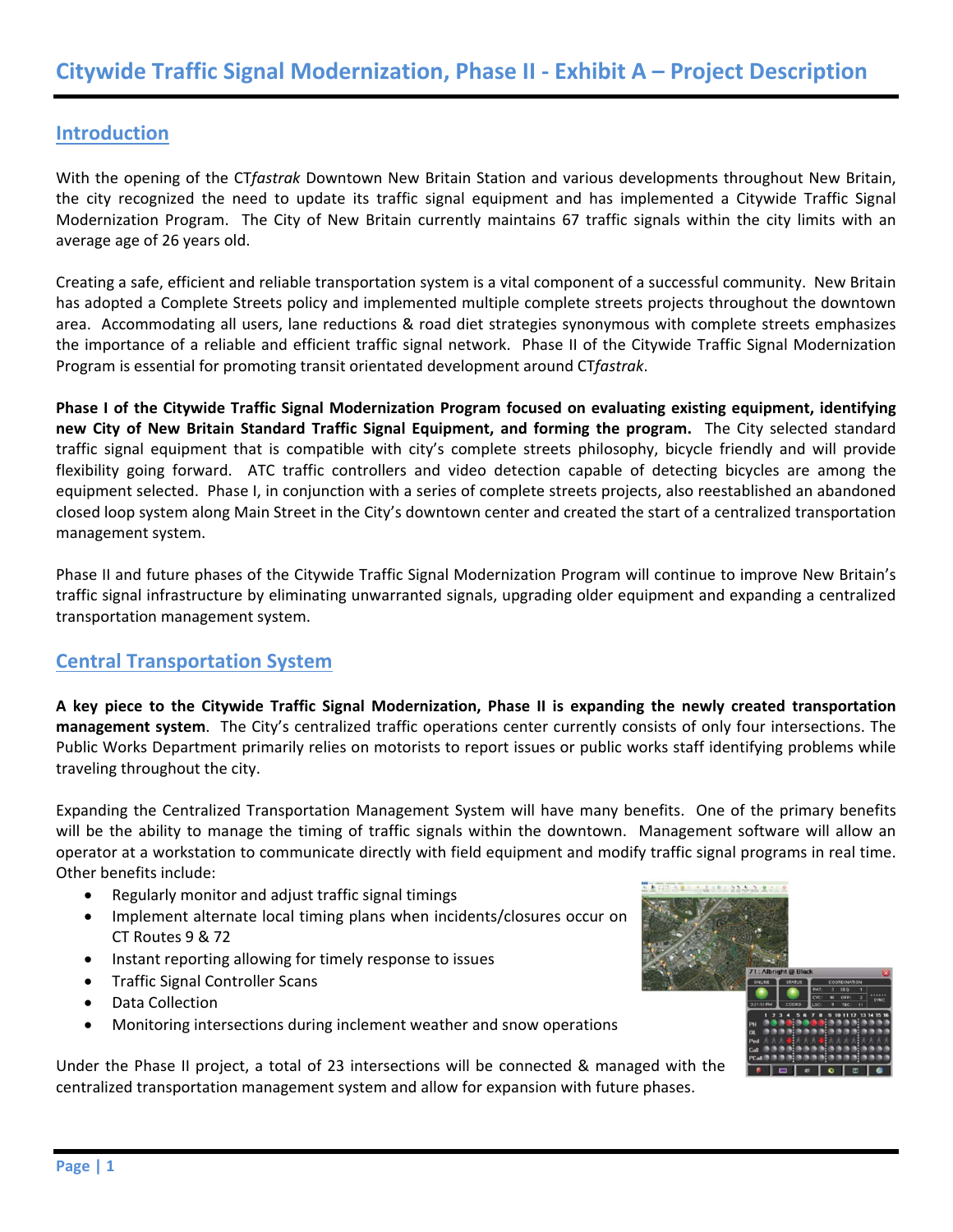# **Introduction**

With the opening of the CT*fastrak* Downtown New Britain Station and various developments throughout New Britain, the city recognized the need to update its traffic signal equipment and has implemented a Citywide Traffic Signal Modernization Program. The City of New Britain currently maintains 67 traffic signals within the city limits with an average age of 26 years old.

Creating a safe, efficient and reliable transportation system is a vital component of a successful community. New Britain has adopted a Complete Streets policy and implemented multiple complete streets projects throughout the downtown area. Accommodating all users, lane reductions & road diet strategies synonymous with complete streets emphasizes the importance of a reliable and efficient traffic signal network. Phase II of the Citywide Traffic Signal Modernization Program is essential for promoting transit orientated development around CT*fastrak*.

**Phase I of the Citywide Traffic Signal Modernization Program focused on evaluating existing equipment, identifying**  new City of New Britain Standard Traffic Signal Equipment, and forming the program. The City selected standard traffic signal equipment that is compatible with city's complete streets philosophy, bicycle friendly and will provide flexibility going forward. ATC traffic controllers and video detection capable of detecting bicycles are among the equipment selected. Phase I, in conjunction with a series of complete streets projects, also reestablished an abandoned closed loop system along Main Street in the City's downtown center and created the start of a centralized transportation management system.

Phase II and future phases of the Citywide Traffic Signal Modernization Program will continue to improve New Britain's traffic signal infrastructure by eliminating unwarranted signals, upgrading older equipment and expanding a centralized transportation management system.

# **Central Transportation System**

**A key piece to the Citywide Traffic Signal Modernization, Phase II is expanding the newly created transportation management system**. The City's centralized traffic operations center currently consists of only four intersections. The Public Works Department primarily relies on motorists to report issues or public works staff identifying problems while traveling throughout the city.

Expanding the Centralized Transportation Management System will have many benefits. One of the primary benefits will be the ability to manage the timing of traffic signals within the downtown. Management software will allow an operator at a workstation to communicate directly with field equipment and modify traffic signal programs in real time. Other benefits include:

- Regularly monitor and adjust traffic signal timings
- Implement alternate local timing plans when incidents/closures occur on CT Routes 9 & 72
- Instant reporting allowing for timely response to issues
- Traffic Signal Controller Scans
- Data Collection
- Monitoring intersections during inclement weather and snow operations

Under the Phase II project, a total of 23 intersections will be connected & managed with the centralized transportation management system and allow for expansion with future phases.

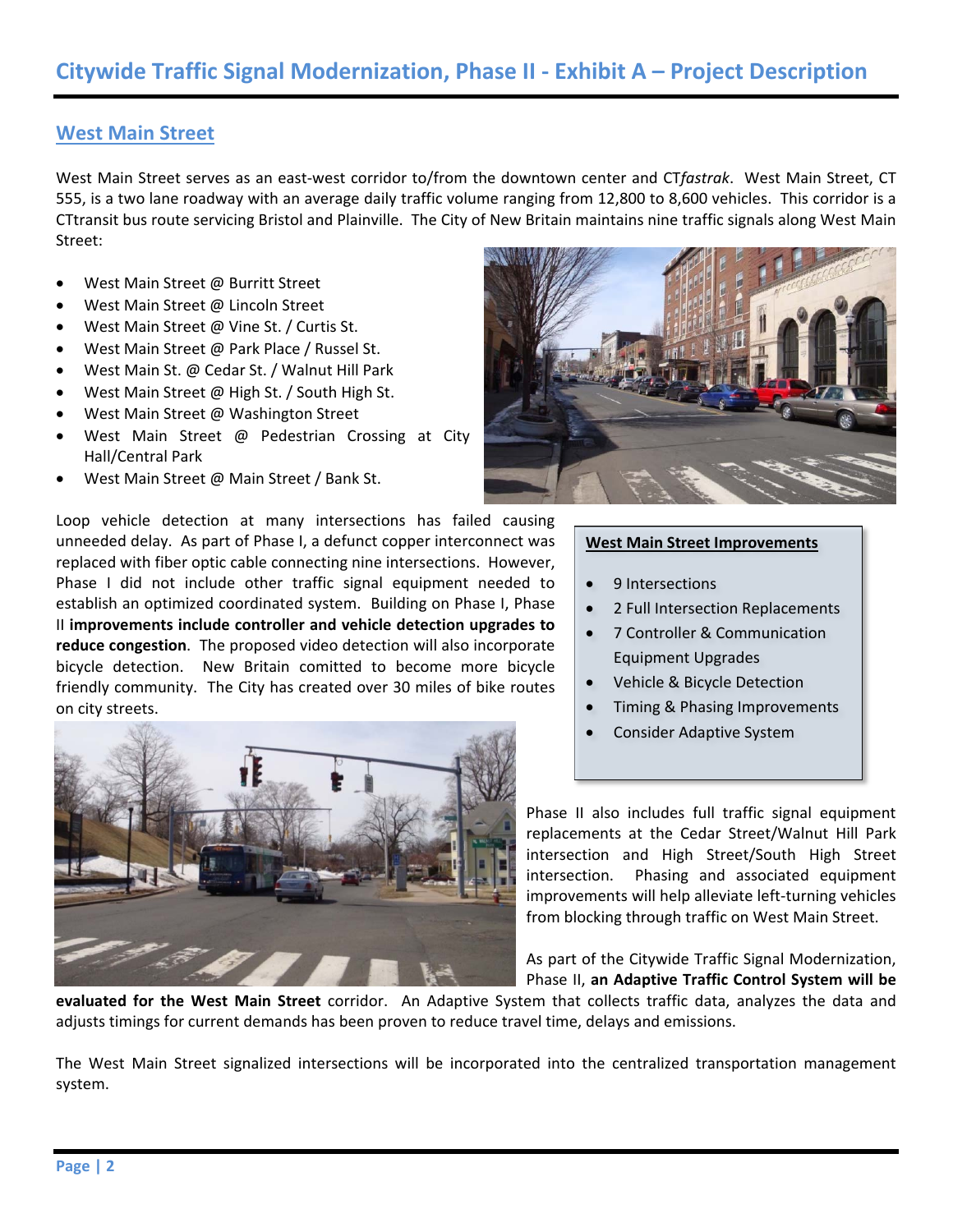### **West Main Street**

West Main Street serves as an east‐west corridor to/from the downtown center and CT*fastrak*. West Main Street, CT 555, is a two lane roadway with an average daily traffic volume ranging from 12,800 to 8,600 vehicles. This corridor is a CTtransit bus route servicing Bristol and Plainville. The City of New Britain maintains nine traffic signals along West Main Street:

- West Main Street @ Burritt Street
- West Main Street @ Lincoln Street
- West Main Street @ Vine St. / Curtis St.
- West Main Street @ Park Place / Russel St.
- West Main St. @ Cedar St. / Walnut Hill Park
- West Main Street @ High St. / South High St.
- West Main Street @ Washington Street
- West Main Street @ Pedestrian Crossing at City Hall/Central Park
- West Main Street @ Main Street / Bank St.

Loop vehicle detection at many intersections has failed causing unneeded delay. As part of Phase I, a defunct copper interconnect was replaced with fiber optic cable connecting nine intersections. However, Phase I did not include other traffic signal equipment needed to establish an optimized coordinated system. Building on Phase I, Phase II **improvements include controller and vehicle detection upgrades to reduce congestion**. The proposed video detection will also incorporate bicycle detection. New Britain comitted to become more bicycle friendly community. The City has created over 30 miles of bike routes on city streets.





#### **West Main Street Improvements**

- 9 Intersections
- 2 Full Intersection Replacements
- 7 Controller & Communication Equipment Upgrades
- Vehicle & Bicycle Detection
- Timing & Phasing Improvements
- Consider Adaptive System

Phase II also includes full traffic signal equipment replacements at the Cedar Street/Walnut Hill Park intersection and High Street/South High Street intersection. Phasing and associated equipment improvements will help alleviate left-turning vehicles from blocking through traffic on West Main Street.

As part of the Citywide Traffic Signal Modernization, Phase II, **an Adaptive Traffic Control System will be** 

**evaluated for the West Main Street** corridor. An Adaptive System that collects traffic data, analyzes the data and adjusts timings for current demands has been proven to reduce travel time, delays and emissions.

The West Main Street signalized intersections will be incorporated into the centralized transportation management system.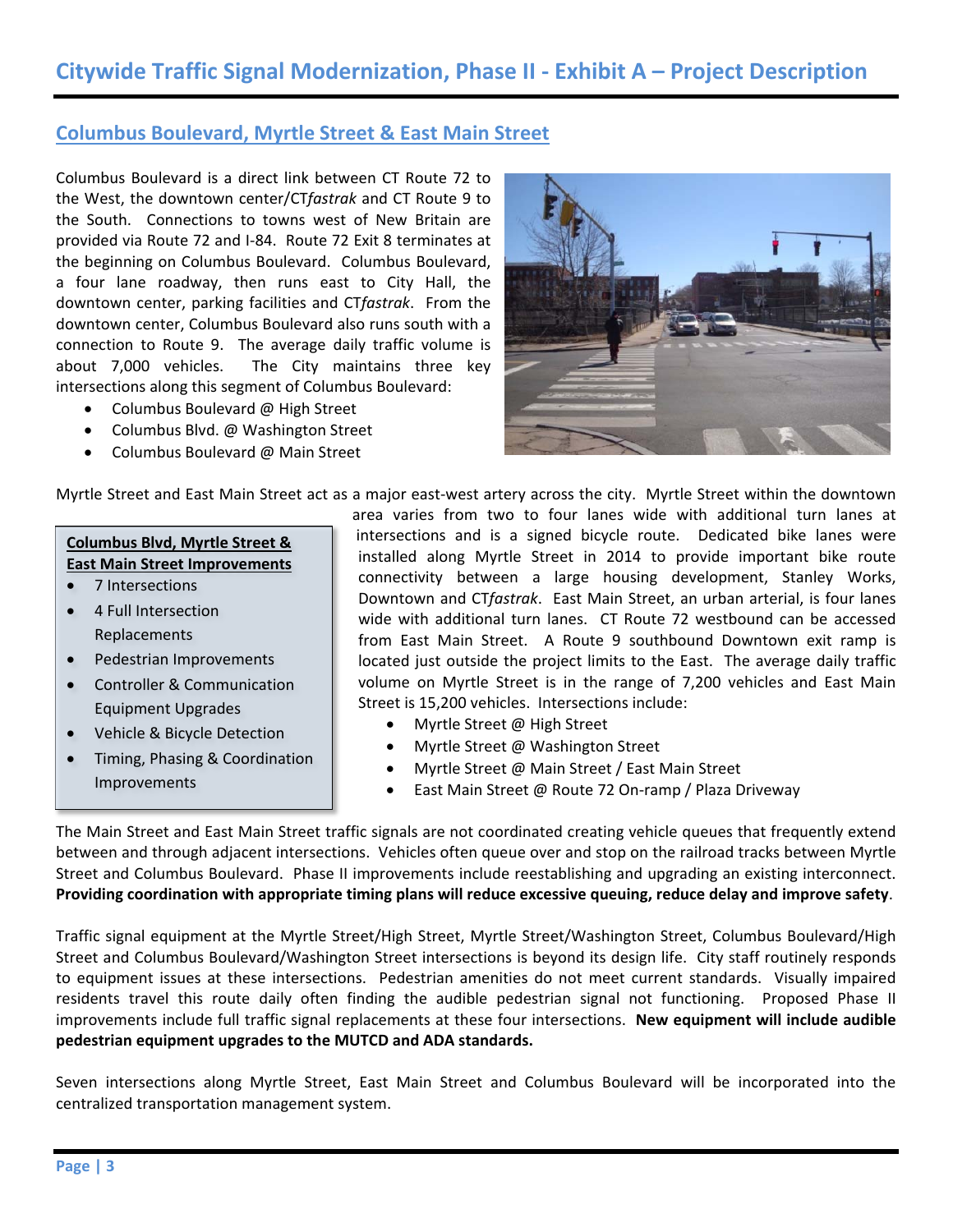### **Columbus Boulevard, Myrtle Street & East Main Street**

Columbus Boulevard is a direct link between CT Route 72 to the West, the downtown center/CT*fastrak* and CT Route 9 to the South. Connections to towns west of New Britain are provided via Route 72 and I‐84. Route 72 Exit 8 terminates at the beginning on Columbus Boulevard. Columbus Boulevard, a four lane roadway, then runs east to City Hall, the downtown center, parking facilities and CT*fastrak*. From the downtown center, Columbus Boulevard also runs south with a connection to Route 9. The average daily traffic volume is about 7,000 vehicles. The City maintains three key intersections along this segment of Columbus Boulevard:

- Columbus Boulevard @ High Street
- Columbus Blvd. @ Washington Street
- Columbus Boulevard @ Main Street



Myrtle Street and East Main Street act as a major east‐west artery across the city. Myrtle Street within the downtown

### **Columbus Blvd, Myrtle Street & East Main Street Improvements**

- 7 Intersections
- 4 Full Intersection Replacements
- Pedestrian Improvements
- Controller & Communication Equipment Upgrades
- Vehicle & Bicycle Detection
- Timing, Phasing & Coordination Improvements

area varies from two to four lanes wide with additional turn lanes at intersections and is a signed bicycle route. Dedicated bike lanes were installed along Myrtle Street in 2014 to provide important bike route connectivity between a large housing development, Stanley Works, Downtown and CT*fastrak*. East Main Street, an urban arterial, is four lanes wide with additional turn lanes. CT Route 72 westbound can be accessed from East Main Street. A Route 9 southbound Downtown exit ramp is located just outside the project limits to the East. The average daily traffic volume on Myrtle Street is in the range of 7,200 vehicles and East Main Street is 15,200 vehicles. Intersections include:

- Myrtle Street @ High Street
- Myrtle Street @ Washington Street
- Myrtle Street @ Main Street / East Main Street
- East Main Street @ Route 72 On‐ramp / Plaza Driveway

The Main Street and East Main Street traffic signals are not coordinated creating vehicle queues that frequently extend between and through adjacent intersections. Vehicles often queue over and stop on the railroad tracks between Myrtle Street and Columbus Boulevard. Phase II improvements include reestablishing and upgrading an existing interconnect. **Providing coordination with appropriate timing plans will reduce excessive queuing, reduce delay and improve safety**.

Traffic signal equipment at the Myrtle Street/High Street, Myrtle Street/Washington Street, Columbus Boulevard/High Street and Columbus Boulevard/Washington Street intersections is beyond its design life. City staff routinely responds to equipment issues at these intersections. Pedestrian amenities do not meet current standards. Visually impaired residents travel this route daily often finding the audible pedestrian signal not functioning. Proposed Phase II improvements include full traffic signal replacements at these four intersections. **New equipment will include audible pedestrian equipment upgrades to the MUTCD and ADA standards.**

Seven intersections along Myrtle Street, East Main Street and Columbus Boulevard will be incorporated into the centralized transportation management system.